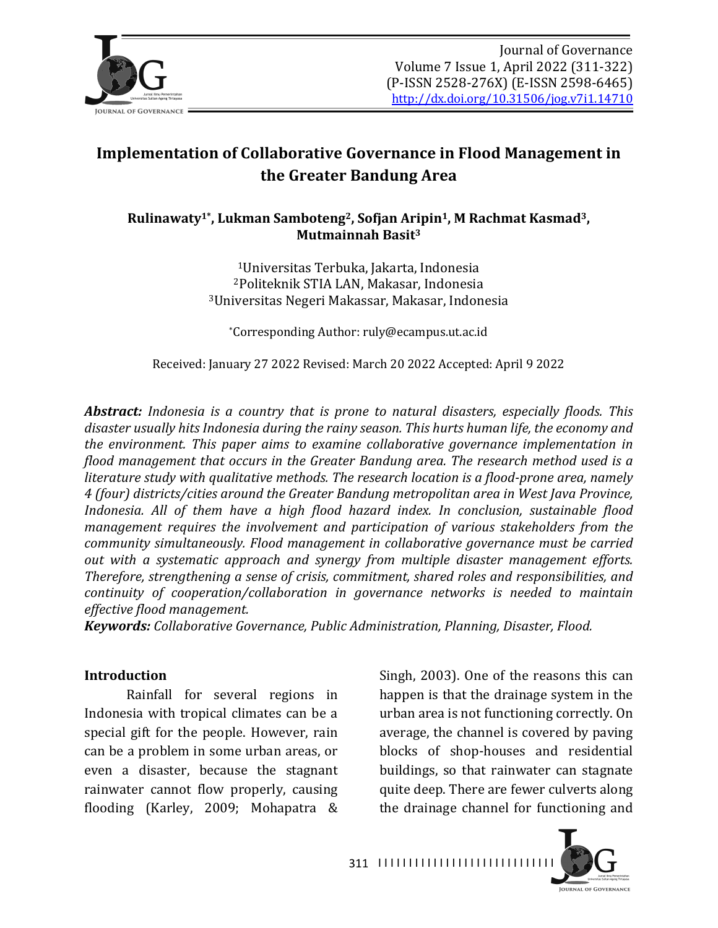

# **Implementation of Collaborative Governance in Flood Management in the Greater Bandung Area**

### Rulinawaty<sup>1\*</sup>, Lukman Samboteng<sup>2</sup>, Sofjan Aripin<sup>1</sup>, M Rachmat Kasmad<sup>3</sup>, **Mutmainnah Basit3**

<sup>1</sup>Universitas Terbuka, Jakarta, Indonesia <sup>2</sup>Politeknik STIA LAN, Makasar, Indonesia <sup>3</sup>Universitas Negeri Makassar, Makasar, Indonesia

\*Corresponding Author: ruly@ecampus.ut.ac.id

Received: January 27 2022 Revised: March 20 2022 Accepted: April 9 2022

Abstract: Indonesia is a country that is prone to natural disasters, especially floods. This disaster usually hits Indonesia during the rainy season. This hurts human life, the economy and *the environment. This paper aims to examine collaborative governance implementation in flood management that occurs in the Greater Bandung area. The research method used is a literature study with qualitative methods. The research location is a flood-prone area, namely 4* (four) districts/cities around the Greater Bandung metropolitan area in West Java Province, *Indonesia.* All of them have a high flood hazard index. In conclusion, sustainable flood *management requires the involvement and participation of various stakeholders from the community simultaneously.* Flood management in collaborative governance must be carried *out* with a systematic approach and synergy from multiple disaster management efforts. *Therefore, strengthening a sense of crisis, commitment, shared roles and responsibilities, and continuity* of cooperation/collaboration in governance networks is needed to maintain *effective flood management.*

*Keywords: Collaborative Governance, Public Administration, Planning, Disaster, Flood.* 

#### **Introduction**

Rainfall for several regions in Indonesia with tropical climates can be a special gift for the people. However, rain can be a problem in some urban areas, or even a disaster, because the stagnant rainwater cannot flow properly, causing flooding (Karley, 2009; Mohapatra & Singh, 2003). One of the reasons this can happen is that the drainage system in the urban area is not functioning correctly. On average, the channel is covered by paving blocks of shop-houses and residential buildings, so that rainwater can stagnate quite deep. There are fewer culverts along the drainage channel for functioning and

**JOURNAL OF GOVERNANCE** 

311 |||||||||||||||||||||||||||||||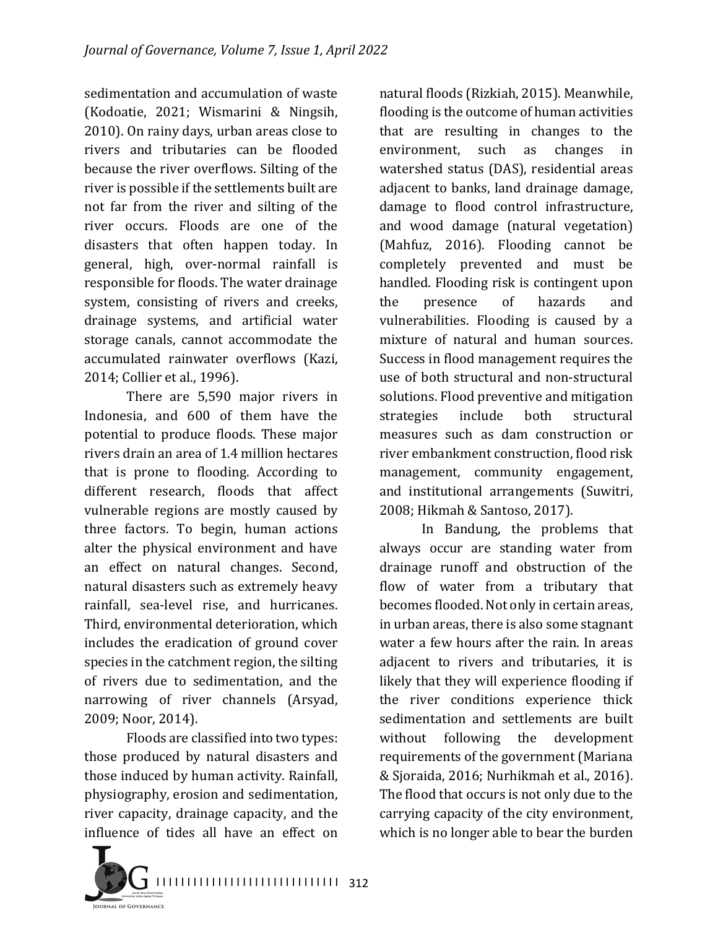sedimentation and accumulation of waste (Kodoatie, 2021; Wismarini & Ningsih, 2010). On rainy days, urban areas close to rivers and tributaries can be flooded because the river overflows. Silting of the river is possible if the settlements built are not far from the river and silting of the river occurs. Floods are one of the disasters that often happen today. In general, high, over-normal rainfall is responsible for floods. The water drainage system, consisting of rivers and creeks, drainage systems, and artificial water storage canals, cannot accommodate the accumulated rainwater overflows (Kazi, 2014; Collier et al., 1996).

There are 5,590 major rivers in Indonesia, and 600 of them have the potential to produce floods. These major rivers drain an area of 1.4 million hectares that is prone to flooding. According to different research, floods that affect vulnerable regions are mostly caused by three factors. To begin, human actions alter the physical environment and have an effect on natural changes. Second, natural disasters such as extremely heavy rainfall, sea-level rise, and hurricanes. Third, environmental deterioration, which includes the eradication of ground cover species in the catchment region, the silting of rivers due to sedimentation, and the narrowing of river channels (Arsyad, 2009; Noor, 2014).

Floods are classified into two types: those produced by natural disasters and those induced by human activity. Rainfall, physiography, erosion and sedimentation, river capacity, drainage capacity, and the influence of tides all have an effect on



natural floods (Rizkiah, 2015). Meanwhile, flooding is the outcome of human activities that are resulting in changes to the environment, such as changes in watershed status (DAS), residential areas adjacent to banks, land drainage damage, damage to flood control infrastructure, and wood damage (natural vegetation) (Mahfuz, 2016). Flooding cannot be completely prevented and must be handled. Flooding risk is contingent upon the presence of hazards and vulnerabilities. Flooding is caused by a mixture of natural and human sources. Success in flood management requires the use of both structural and non-structural solutions. Flood preventive and mitigation strategies include both structural measures such as dam construction or river embankment construction, flood risk management, community engagement, and institutional arrangements (Suwitri, 2008; Hikmah & Santoso, 2017).

In Bandung, the problems that always occur are standing water from drainage runoff and obstruction of the flow of water from a tributary that becomes flooded. Not only in certain areas, in urban areas, there is also some stagnant water a few hours after the rain. In areas adjacent to rivers and tributaries, it is likely that they will experience flooding if the river conditions experience thick sedimentation and settlements are built without following the development requirements of the government (Mariana & Sjoraida, 2016; Nurhikmah et al., 2016). The flood that occurs is not only due to the carrying capacity of the city environment, which is no longer able to bear the burden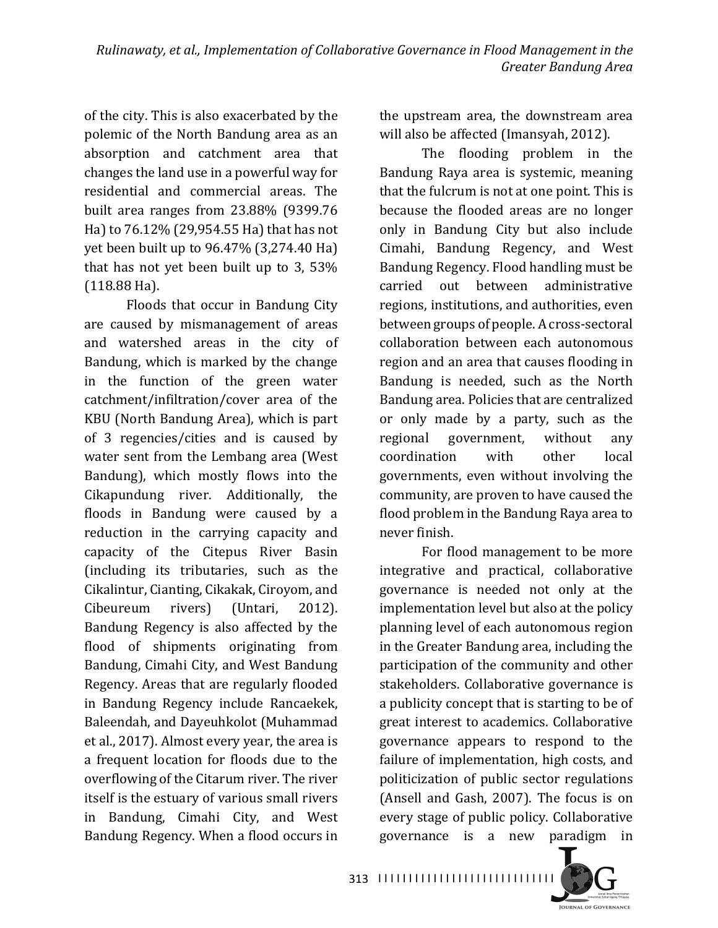of the city. This is also exacerbated by the polemic of the North Bandung area as an absorption and catchment area that changes the land use in a powerful way for residential and commercial areas. The built area ranges from  $23.88\%$  (9399.76) Ha) to 76.12% (29,954.55 Ha) that has not yet been built up to  $96.47\%$   $(3,274.40$  Ha) that has not yet been built up to  $3, 53\%$  $(118.88 \text{ Ha})$ .

Floods that occur in Bandung City are caused by mismanagement of areas and watershed areas in the city of Bandung, which is marked by the change in the function of the green water catchment/infiltration/cover area of the KBU (North Bandung Area), which is part of 3 regencies/cities and is caused by water sent from the Lembang area (West Bandung), which mostly flows into the Cikapundung river. Additionally, the floods in Bandung were caused by a reduction in the carrying capacity and capacity of the Citepus River Basin (including its tributaries, such as the Cikalintur, Cianting, Cikakak, Ciroyom, and Cibeureum rivers) (Untari, 2012). Bandung Regency is also affected by the flood of shipments originating from Bandung, Cimahi City, and West Bandung Regency. Areas that are regularly flooded in Bandung Regency include Rancaekek, Baleendah, and Dayeuhkolot (Muhammad et al., 2017). Almost every year, the area is a frequent location for floods due to the overflowing of the Citarum river. The river itself is the estuary of various small rivers in Bandung, Cimahi City, and West Bandung Regency. When a flood occurs in

the upstream area, the downstream area will also be affected (Imansyah, 2012).

The flooding problem in the Bandung Raya area is systemic, meaning that the fulcrum is not at one point. This is because the flooded areas are no longer only in Bandung City but also include Cimahi, Bandung Regency, and West Bandung Regency. Flood handling must be carried out between administrative regions, institutions, and authorities, even between groups of people. A cross-sectoral collaboration between each autonomous region and an area that causes flooding in Bandung is needed, such as the North Bandung area. Policies that are centralized or only made by a party, such as the regional government, without any coordination with other local governments, even without involving the community, are proven to have caused the flood problem in the Bandung Raya area to never finish.

For flood management to be more integrative and practical, collaborative governance is needed not only at the implementation level but also at the policy planning level of each autonomous region in the Greater Bandung area, including the participation of the community and other stakeholders. Collaborative governance is a publicity concept that is starting to be of great interest to academics. Collaborative governance appears to respond to the failure of implementation, high costs, and politicization of public sector regulations (Ansell and Gash,  $2007$ ). The focus is on every stage of public policy. Collaborative governance is a new paradigm in 

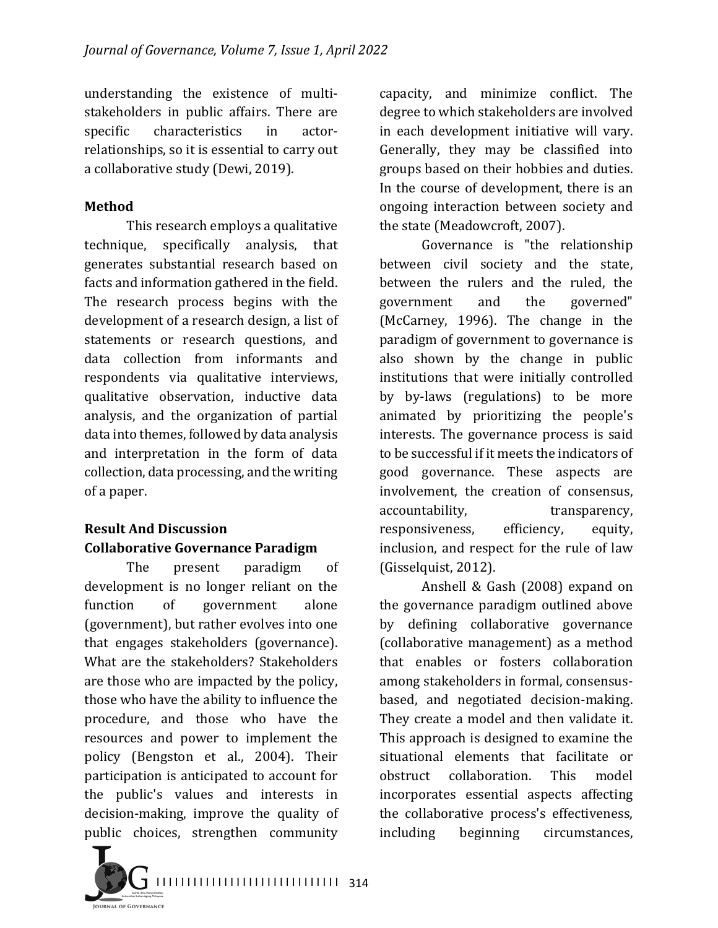understanding the existence of multistakeholders in public affairs. There are specific characteristics in actorrelationships, so it is essential to carry out a collaborative study (Dewi, 2019).

### **Method**

This research employs a qualitative technique, specifically analysis, that generates substantial research based on facts and information gathered in the field. The research process begins with the development of a research design, a list of statements or research questions, and data collection from informants and respondents via qualitative interviews, qualitative observation, inductive data analysis, and the organization of partial data into themes, followed by data analysis and interpretation in the form of data collection, data processing, and the writing of a paper.

### **Result And Discussion Collaborative Governance Paradigm**

The present paradigm of development is no longer reliant on the function of government alone (government), but rather evolves into one that engages stakeholders (governance). What are the stakeholders? Stakeholders are those who are impacted by the policy, those who have the ability to influence the procedure, and those who have the resources and power to implement the policy (Bengston et al., 2004). Their participation is anticipated to account for the public's values and interests in decision-making, improve the quality of public choices, strengthen community capacity, and minimize conflict. The degree to which stakeholders are involved in each development initiative will vary. Generally, they may be classified into groups based on their hobbies and duties. In the course of development, there is an ongoing interaction between society and the state (Meadowcroft, 2007).

Governance is "the relationship between civil society and the state, between the rulers and the ruled, the government and the governed" (McCarney, 1996). The change in the paradigm of government to governance is also shown by the change in public institutions that were initially controlled by by-laws (regulations) to be more animated by prioritizing the people's interests. The governance process is said to be successful if it meets the indicators of good governance. These aspects are involvement, the creation of consensus, accountability, extension transparency, responsiveness, efficiency, equity, inclusion, and respect for the rule of law (Gisselquist, 2012).

Anshell & Gash  $(2008)$  expand on the governance paradigm outlined above by defining collaborative governance (collaborative management) as a method that enables or fosters collaboration among stakeholders in formal, consensusbased, and negotiated decision-making. They create a model and then validate it. This approach is designed to examine the situational elements that facilitate or obstruct collaboration. This model incorporates essential aspects affecting the collaborative process's effectiveness, including beginning circumstances,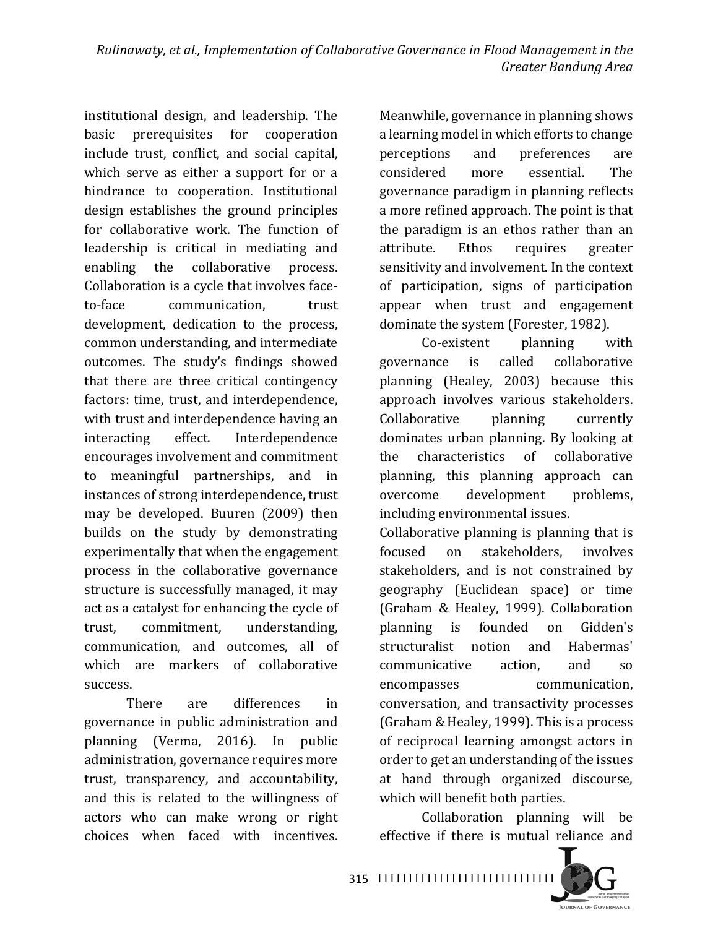institutional design, and leadership. The basic prerequisites for cooperation include trust, conflict, and social capital, which serve as either a support for or a hindrance to cooperation. Institutional design establishes the ground principles for collaborative work. The function of leadership is critical in mediating and enabling the collaborative process. Collaboration is a cycle that involves faceto-face communication, trust development, dedication to the process, common understanding, and intermediate outcomes. The study's findings showed that there are three critical contingency factors: time, trust, and interdependence, with trust and interdependence having an interacting effect. Interdependence encourages involvement and commitment to meaningful partnerships, and in instances of strong interdependence, trust may be developed. Buuren (2009) then builds on the study by demonstrating experimentally that when the engagement process in the collaborative governance structure is successfully managed, it may act as a catalyst for enhancing the cycle of trust, commitment, understanding, communication, and outcomes, all of which are markers of collaborative success.

There are differences in governance in public administration and planning (Verma, 2016). In public administration, governance requires more trust, transparency, and accountability, and this is related to the willingness of actors who can make wrong or right choices when faced with incentives. 

Meanwhile, governance in planning shows a learning model in which efforts to change perceptions and preferences are considered more essential. The governance paradigm in planning reflects a more refined approach. The point is that the paradigm is an ethos rather than an attribute. Ethos requires greater sensitivity and involvement. In the context of participation, signs of participation appear when trust and engagement dominate the system (Forester, 1982).

Co-existent planning with governance is called collaborative planning (Healey, 2003) because this approach involves various stakeholders. Collaborative planning currently dominates urban planning. By looking at the characteristics of collaborative planning, this planning approach can overcome development problems, including environmental issues.

Collaborative planning is planning that is focused on stakeholders, involves stakeholders, and is not constrained by geography (Euclidean space) or time (Graham & Healey, 1999). Collaboration planning is founded on Gidden's structuralist notion and Habermas' communicative action, and so encompasses communication, conversation, and transactivity processes (Graham & Healey, 1999). This is a process of reciprocal learning amongst actors in order to get an understanding of the issues at hand through organized discourse, which will benefit both parties.

Collaboration planning will be effective if there is mutual reliance and



I I I I I I I I I I I I I I I I I I I I I I I I I I I I I 315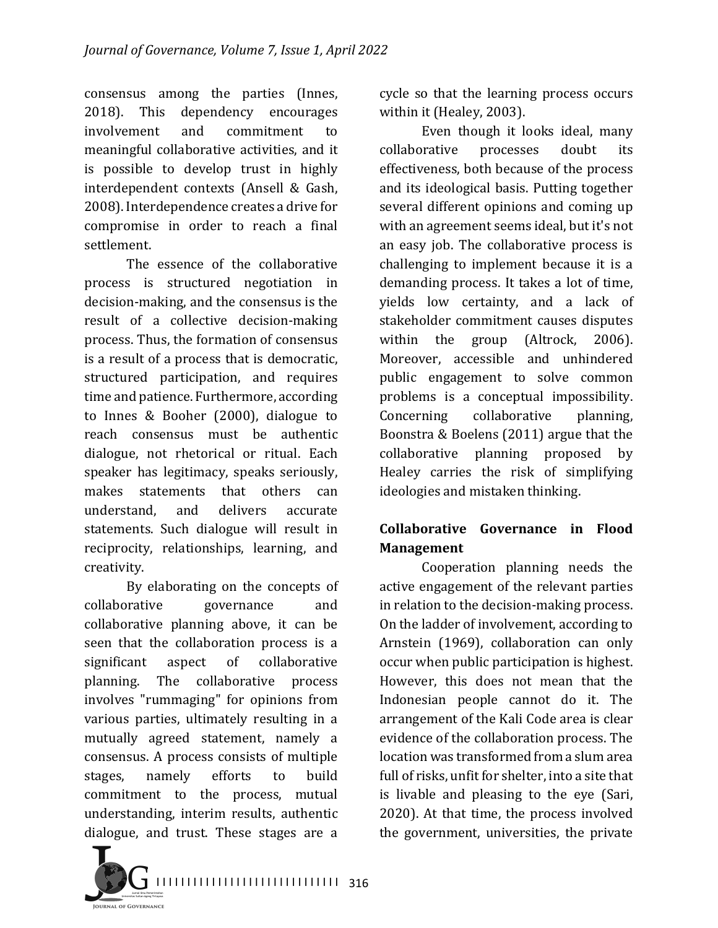consensus among the parties (Innes, 2018). This dependency encourages involvement and commitment to meaningful collaborative activities, and it is possible to develop trust in highly interdependent contexts (Ansell & Gash, 2008). Interdependence creates a drive for compromise in order to reach a final settlement.

The essence of the collaborative process is structured negotiation in decision-making, and the consensus is the result of a collective decision-making process. Thus, the formation of consensus is a result of a process that is democratic, structured participation, and requires time and patience. Furthermore, according to Innes & Booher  $(2000)$ , dialogue to reach consensus must be authentic dialogue, not rhetorical or ritual. Each speaker has legitimacy, speaks seriously, makes statements that others can understand, and delivers accurate statements. Such dialogue will result in reciprocity, relationships, learning, and creativity.

By elaborating on the concepts of collaborative governance and collaborative planning above, it can be seen that the collaboration process is a significant aspect of collaborative planning. The collaborative process involves "rummaging" for opinions from various parties, ultimately resulting in a mutually agreed statement, namely a consensus. A process consists of multiple stages, namely efforts to build commitment to the process, mutual understanding, interim results, authentic dialogue, and trust. These stages are a cycle so that the learning process occurs within it (Healey, 2003).

Even though it looks ideal, many collaborative processes doubt its effectiveness, both because of the process and its ideological basis. Putting together several different opinions and coming up with an agreement seems ideal, but it's not an easy job. The collaborative process is challenging to implement because it is a demanding process. It takes a lot of time, yields low certainty, and a lack of stakeholder commitment causes disputes within the group (Altrock, 2006). Moreover, accessible and unhindered public engagement to solve common problems is a conceptual impossibility. Concerning collaborative planning, Boonstra & Boelens  $(2011)$  argue that the collaborative planning proposed by Healey carries the risk of simplifying ideologies and mistaken thinking.

## **Collaborative Governance in Flood Management**

Cooperation planning needs the active engagement of the relevant parties in relation to the decision-making process. On the ladder of involvement, according to Arnstein (1969), collaboration can only occur when public participation is highest. However, this does not mean that the Indonesian people cannot do it. The arrangement of the Kali Code area is clear evidence of the collaboration process. The location was transformed from a slum area full of risks, unfit for shelter, into a site that is livable and pleasing to the eye (Sari, 2020). At that time, the process involved the government, universities, the private

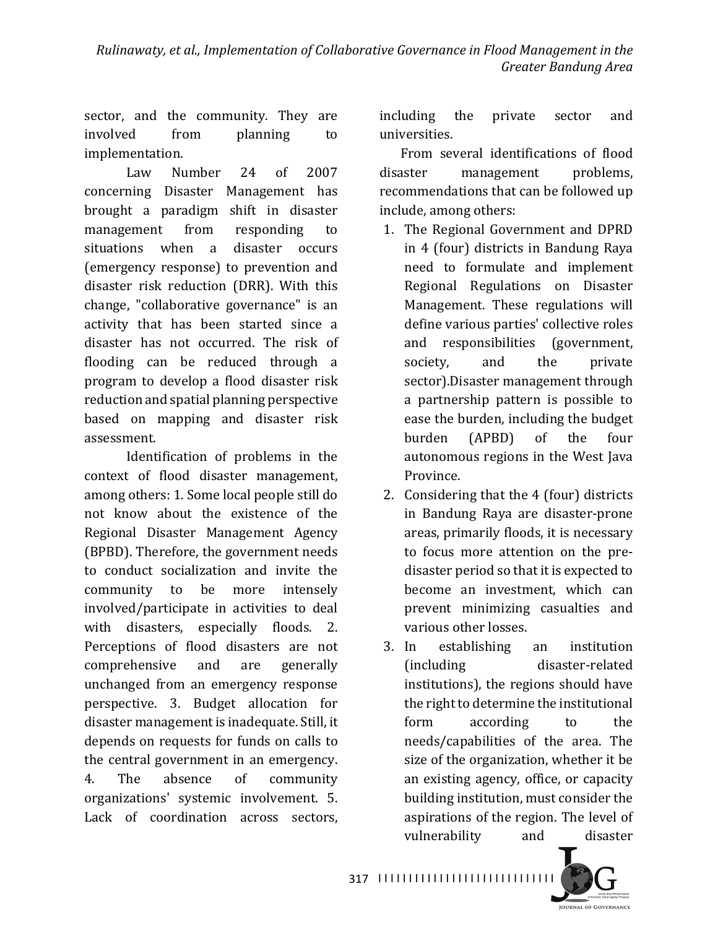sector, and the community. They are involved from planning to implementation.

Law Number 24 of 2007 concerning Disaster Management has brought a paradigm shift in disaster management from responding to situations when a disaster occurs (emergency response) to prevention and disaster risk reduction (DRR). With this change, "collaborative governance" is an activity that has been started since a disaster has not occurred. The risk of flooding can be reduced through a program to develop a flood disaster risk reduction and spatial planning perspective based on mapping and disaster risk assessment.

Identification of problems in the context of flood disaster management, among others: 1. Some local people still do not know about the existence of the Regional Disaster Management Agency (BPBD). Therefore, the government needs to conduct socialization and invite the community to be more intensely involved/participate in activities to deal with disasters, especially floods. 2. Perceptions of flood disasters are not comprehensive and are generally unchanged from an emergency response perspective. 3. Budget allocation for disaster management is inadequate. Still, it depends on requests for funds on calls to the central government in an emergency. 4. The absence of community organizations' systemic involvement. 5. Lack of coordination across sectors,

including the private sector and universities.

From several identifications of flood disaster management problems, recommendations that can be followed up include, among others:

- 1. The Regional Government and DPRD in 4 (four) districts in Bandung Raya need to formulate and implement Regional Regulations on Disaster Management. These regulations will define various parties' collective roles and responsibilities (government, society, and the private sector).Disaster management through a partnership pattern is possible to ease the burden, including the budget burden (APBD) of the four autonomous regions in the West Java Province.
- 2. Considering that the 4 (four) districts in Bandung Raya are disaster-prone areas, primarily floods, it is necessary to focus more attention on the predisaster period so that it is expected to become an investment, which can prevent minimizing casualties and various other losses.
- 3. In establishing an institution (including disaster-related institutions), the regions should have the right to determine the institutional form according to the needs/capabilities of the area. The size of the organization, whether it be an existing agency, office, or capacity building institution, must consider the aspirations of the region. The level of vulnerability and disaster

**IQUENAL OF GOVERNANCE** 

317 |||||||||||||||||||||||||||||||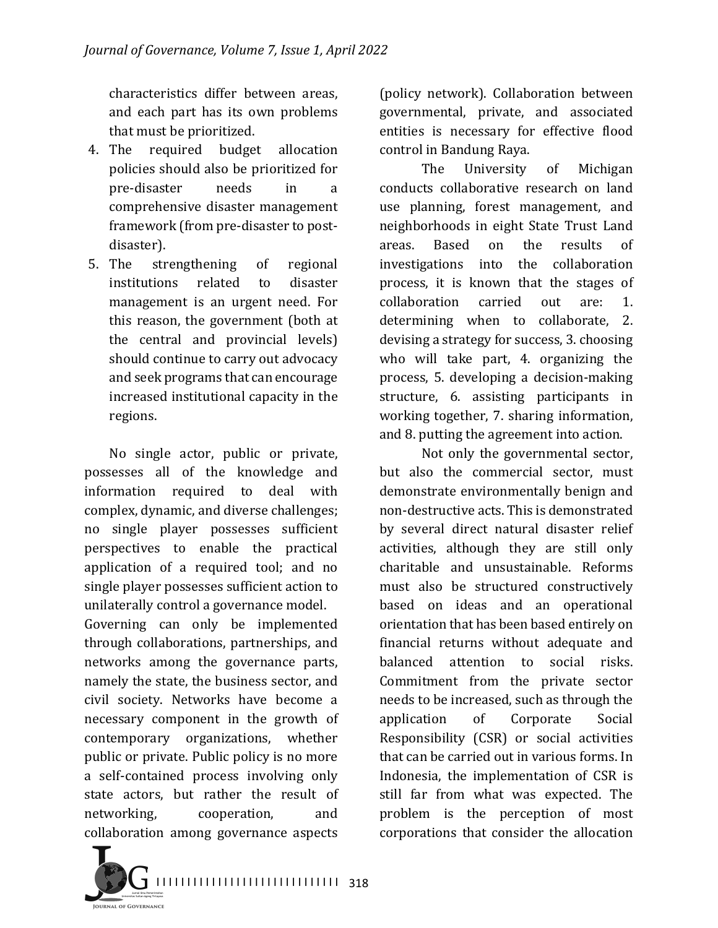characteristics differ between areas. and each part has its own problems that must be prioritized.

- 4. The required budget allocation policies should also be prioritized for pre-disaster needs in a comprehensive disaster management framework (from pre-disaster to postdisaster).
- 5. The strengthening of regional institutions related to disaster management is an urgent need. For this reason, the government (both at the central and provincial levels) should continue to carry out advocacy and seek programs that can encourage increased institutional capacity in the regions.

No single actor, public or private, possesses all of the knowledge and information required to deal with complex, dynamic, and diverse challenges; no single player possesses sufficient perspectives to enable the practical application of a required tool; and no single player possesses sufficient action to unilaterally control a governance model.

Governing can only be implemented through collaborations, partnerships, and networks among the governance parts, namely the state, the business sector, and civil society. Networks have become a necessary component in the growth of contemporary organizations, whether public or private. Public policy is no more a self-contained process involving only state actors, but rather the result of networking, cooperation, and collaboration among governance aspects

(policy network). Collaboration between governmental, private, and associated entities is necessary for effective flood control in Bandung Raya.

The University of Michigan conducts collaborative research on land use planning, forest management, and neighborhoods in eight State Trust Land areas. Based on the results of investigations into the collaboration process, it is known that the stages of collaboration carried out are: 1. determining when to collaborate, 2. devising a strategy for success, 3. choosing who will take part, 4. organizing the process, 5. developing a decision-making structure, 6. assisting participants in working together, 7. sharing information, and 8. putting the agreement into action.

Not only the governmental sector, but also the commercial sector, must demonstrate environmentally benign and non-destructive acts. This is demonstrated by several direct natural disaster relief activities, although they are still only charitable and unsustainable. Reforms must also be structured constructively based on ideas and an operational orientation that has been based entirely on financial returns without adequate and balanced attention to social risks. Commitment from the private sector needs to be increased, such as through the application of Corporate Social Responsibility (CSR) or social activities that can be carried out in various forms. In Indonesia, the implementation of CSR is still far from what was expected. The problem is the perception of most corporations that consider the allocation

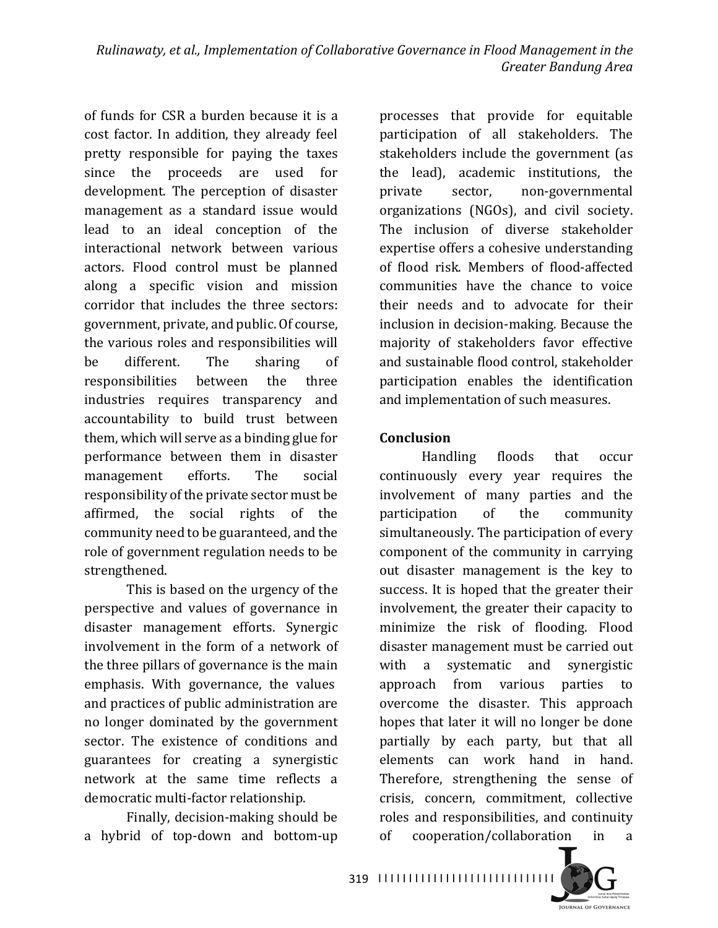of funds for CSR a burden because it is a cost factor. In addition, they already feel pretty responsible for paying the taxes since the proceeds are used for development. The perception of disaster management as a standard issue would lead to an ideal conception of the interactional network between various actors. Flood control must be planned along a specific vision and mission corridor that includes the three sectors: government, private, and public. Of course, the various roles and responsibilities will be different. The sharing of responsibilities between the three industries requires transparency and accountability to build trust between them, which will serve as a binding glue for performance between them in disaster management efforts. The social responsibility of the private sector must be affirmed, the social rights of the community need to be guaranteed, and the role of government regulation needs to be strengthened.

This is based on the urgency of the perspective and values of governance in disaster management efforts. Synergic involvement in the form of a network of the three pillars of governance is the main emphasis. With governance, the values and practices of public administration are no longer dominated by the government sector. The existence of conditions and guarantees for creating a synergistic network at the same time reflects a democratic multi-factor relationship.

Finally, decision-making should be a hybrid of top-down and bottom-up 

processes that provide for equitable participation of all stakeholders. The stakeholders include the government (as the lead), academic institutions, the private sector, non-governmental organizations (NGOs), and civil society. The inclusion of diverse stakeholder expertise offers a cohesive understanding of flood risk. Members of flood-affected communities have the chance to voice their needs and to advocate for their inclusion in decision-making. Because the majority of stakeholders favor effective and sustainable flood control, stakeholder participation enables the identification and implementation of such measures.

### **Conclusion**

Handling floods that occur continuously every year requires the involvement of many parties and the participation of the community simultaneously. The participation of every component of the community in carrying out disaster management is the key to success. It is hoped that the greater their involvement, the greater their capacity to minimize the risk of flooding. Flood disaster management must be carried out with a systematic and synergistic approach from various parties to overcome the disaster. This approach hopes that later it will no longer be done partially by each party, but that all elements can work hand in hand. Therefore, strengthening the sense of crisis, concern, commitment, collective roles and responsibilities, and continuity of cooperation/collaboration in a

319 ||||||||||||||||||||||||||||||

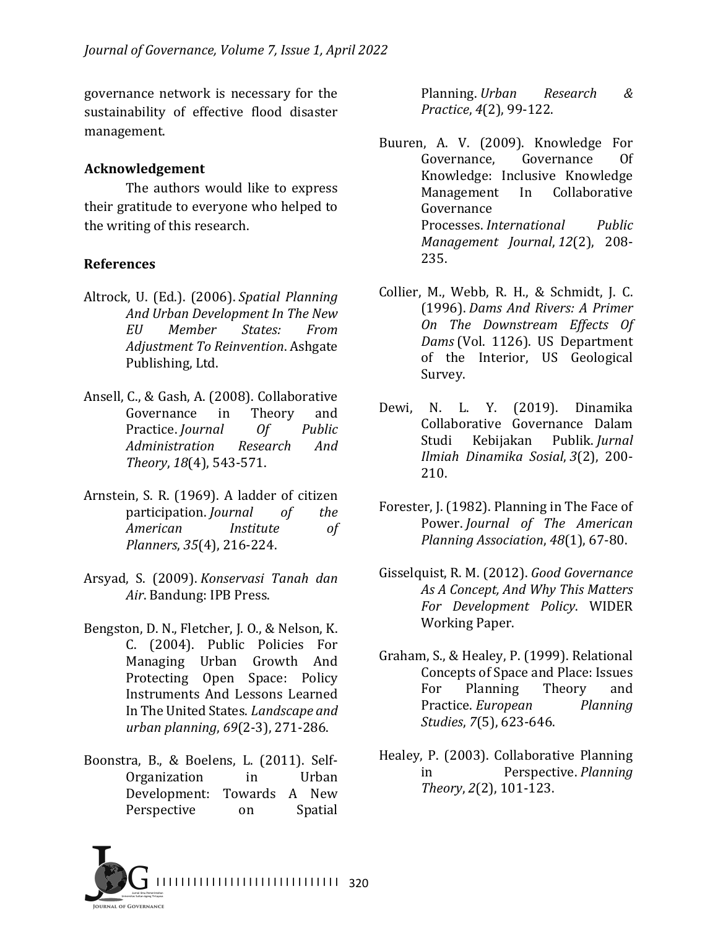governance network is necessary for the sustainability of effective flood disaster management.

### **Acknowledgement**

The authors would like to express their gratitude to everyone who helped to the writing of this research.

### **References**

- Altrock, U. (Ed.). (2006). Spatial Planning *And Urban Development In The New EU Member States: From Adjustment To Reinvention*. Ashgate Publishing, Ltd.
- Ansell, C., & Gash, A. (2008). Collaborative Governance in Theory and Practice. *Journal* Of Public *Administration Research And Theory*, *18*(4), 543-571.
- Arnstein, S. R. (1969). A ladder of citizen participation. *Journal* of the American *Institute* of *Planners*, *35*(4), 216-224.
- Arsyad, S. (2009). *Konservasi Tanah dan*  Air. Bandung: IPB Press.
- Bengston, D. N., Fletcher, J. O., & Nelson, K. C. (2004). Public Policies For Managing Urban Growth And Protecting Open Space: Policy Instruments And Lessons Learned In The United States. *Landscape and urban planning*, *69*(2-3), 271-286.
- Boonstra, B., & Boelens, L. (2011). Self-Organization in Urban Development: Towards A New Perspective on Spatial

Planning. *Urban Research & Practice*, *4*(2), 99-122.

- Buuren, A. V. (2009). Knowledge For Governance, Governance Of Knowledge: Inclusive Knowledge Management In Collaborative Governance Processes. *International Public Management Journal*, *12*(2), 208- 235.
- Collier, M., Webb, R. H., & Schmidt, J. C. (1996). *Dams And Rivers: A Primer On The Downstream Effects Of*  Dams (Vol. 1126). US Department of the Interior, US Geological Survey.
- Dewi, N. L. Y. (2019). Dinamika Collaborative Governance Dalam Studi Kebijakan Publik. *Jurnal Ilmiah Dinamika Sosial*, *3*(2), 200- 210.
- Forester, J. (1982). Planning in The Face of Power. *Journal of The American Planning Association, 48*(1), 67-80.
- Gisselquist, R. M. (2012). Good Governance As A Concept, And Why This Matters *For Development Policy*. WIDER Working Paper.
- Graham, S., & Healey, P. (1999). Relational Concepts of Space and Place: Issues For Planning Theory and Practice. *European* Planning *Studies*, *7*(5), 623-646.
- Healey, P. (2003). Collaborative Planning in Perspective. *Planning Theory*, *2*(2), 101-123.

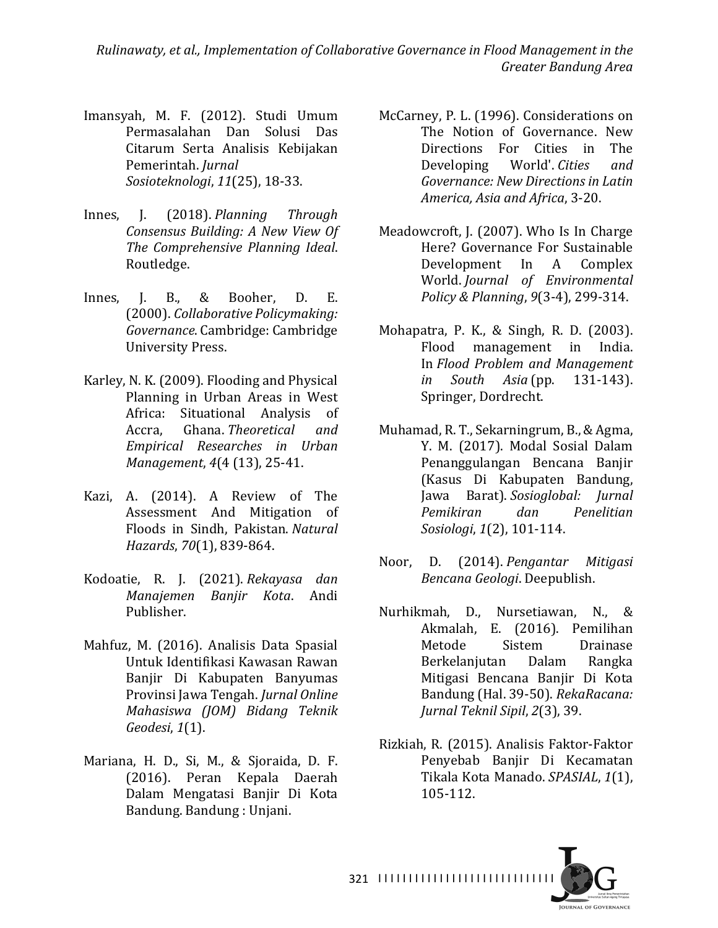- Imansyah, M. F. (2012). Studi Umum Permasalahan Dan Solusi Das Citarum Serta Analisis Kebijakan Pemerintah. *Jurnal Sosioteknologi*, *11*(25), 18-33.
- Innes, J. (2018). *Planning Through Consensus Building: A New View Of The Comprehensive Planning Ideal*. Routledge.
- Innes, J. B., & Booher, D. E. (2000). *Collaborative Policymaking: Governance*. Cambridge: Cambridge University Press.
- Karley, N. K. (2009). Flooding and Physical Planning in Urban Areas in West Africa: Situational Analysis of Accra, Ghana. *Theoretical and Empirical Researches in Urban Management*,  $4(4(13), 25-41$ .
- Kazi, A. (2014). A Review of The Assessment And Mitigation of Floods in Sindh, Pakistan. *Natural Hazards*, *70*(1), 839-864.
- Kodoatie, R. J. (2021). *Rekayasa dan Manajemen Banjir Kota*. Andi Publisher.
- Mahfuz, M. (2016). Analisis Data Spasial Untuk Identifikasi Kawasan Rawan Banjir Di Kabupaten Banyumas Provinsi Jawa Tengah. *Jurnal Online Mahasiswa (JOM) Bidang Teknik Geodesi*, *1*(1).
- Mariana, H. D., Si, M., & Sjoraida, D. F. (2016). Peran Kepala Daerah Dalam Mengatasi Banjir Di Kota Bandung. Bandung : Unjani.
- McCarney, P. L. (1996). Considerations on The Notion of Governance. New Directions For Cities in The Developing World'. *Cities* and Governance: New Directions in Latin *America, Asia and Africa*, 3-20.
- Meadowcroft, J. (2007). Who Is In Charge Here? Governance For Sustainable Development In A Complex World. *Journal of Environmental Policy & Planning*, *9*(3-4), 299-314.
- Mohapatra, P. K., & Singh, R. D. (2003). Flood management in India. In *Flood Problem and Management in South Asia* (pp. 131-143). Springer, Dordrecht.
- Muhamad, R. T., Sekarningrum, B., & Agma, Y. M. (2017). Modal Sosial Dalam Penanggulangan Bencana Banjir (Kasus Di Kabupaten Bandung, Jawa Barat). *Sosioglobal: Jurnal Pemikiran dan Penelitian Sosiologi*, *1*(2), 101-114.
- Noor, D. (2014). *Pengantar Mitigasi Bencana Geologi*. Deepublish.
- Nurhikmah, D., Nursetiawan, N., & Akmalah, E. (2016). Pemilihan Metode Sistem Drainase Berkelanjutan Dalam Rangka Mitigasi Bencana Banjir Di Kota Bandung (Hal. 39-50). RekaRacana: *Jurnal Teknil Sipil*, *2*(3), 39.
- Rizkiah, R. (2015). Analisis Faktor-Faktor Penyebab Banjir Di Kecamatan Tikala Kota Manado. *SPASIAL*, *1*(1), 105-112.